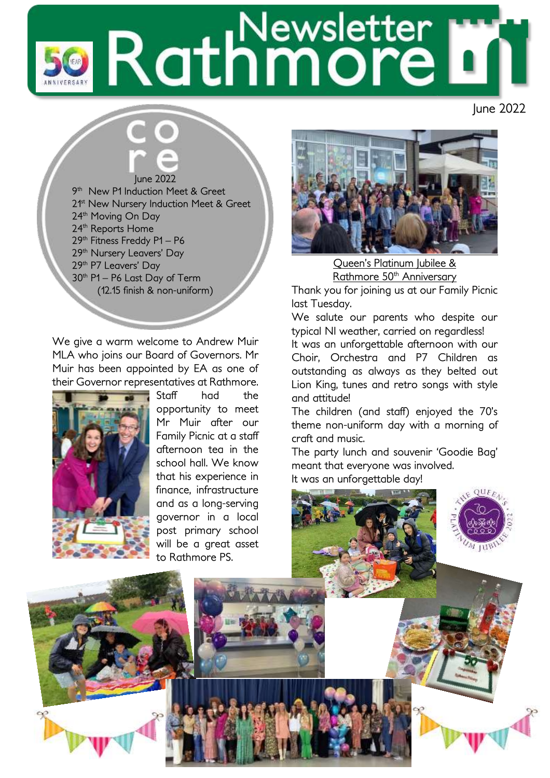# Rathmore

June 2022

## June 2022

9 th New P1 Induction Meet & Greet 2<sup>1st</sup> New Nursery Induction Meet & Greet 24<sup>th</sup> Moving On Day 24<sup>th</sup> Reports Home 29<sup>th</sup> Fitness Freddy P1 - P6 29<sup>th</sup> Nursery Leavers' Day 29th P7 Leavers' Day 30th P1 – P6 Last Day of Term (12.15 finish & non-uniform)

We give a warm welcome to Andrew Muir MLA who joins our Board of Governors. Mr Muir has been appointed by EA as one of their Governor representatives at Rathmore.



Staff had the opportunity to meet Mr Muir after our Family Picnic at a staff afternoon tea in the school hall. We know that his experience in finance, infrastructure and as a long-serving governor in a local post primary school will be a great asset to Rathmore PS.



Queen's Platinum Jubilee & Rathmore 50<sup>th</sup> Anniversary

Thank you for joining us at our Family Picnic last Tuesday.

We salute our parents who despite our typical NI weather, carried on regardless!

It was an unforgettable afternoon with our Choir, Orchestra and P7 Children as outstanding as always as they belted out Lion King, tunes and retro songs with style and attitude!

The children (and staff) enjoyed the 70's theme non-uniform day with a morning of craft and music.

The party lunch and souvenir 'Goodie Bag' meant that everyone was involved. It was an unforgettable day!